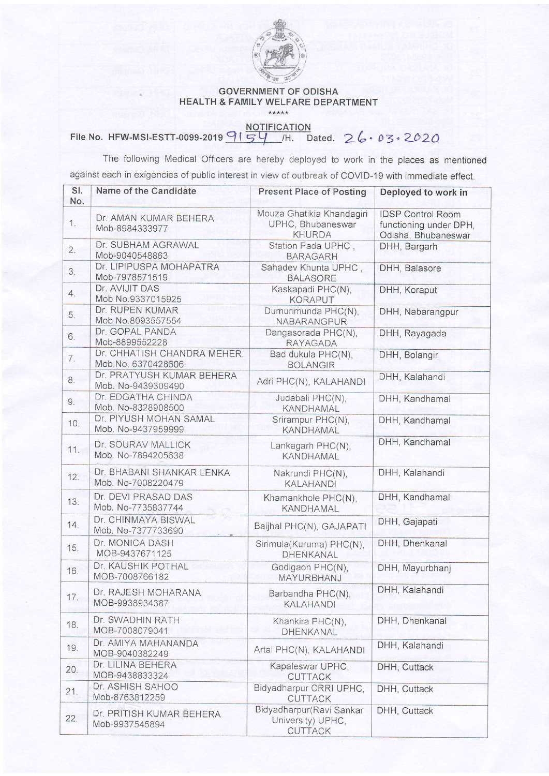

## GOVERNMENT OF ODISHA HEALTH & FAMILY WELFARE DEPARTMENT

## File No. HFW-MSI-ESTT-0099-2019  $9154$  MOTIFICATION<br>File No. HFW-MSI-ESTT-0099-2019  $9154$

The following Medical Officers are hereby deployed to work in the places as mentioned against each in exigencies of public interest in view of outbreak of COVID-19 with immediate effect.

| SI.<br>No. | Name of the Candidate                             | <b>Present Place of Posting</b>                                 | Deployed to work in                                                       |
|------------|---------------------------------------------------|-----------------------------------------------------------------|---------------------------------------------------------------------------|
| 1.         | Dr. AMAN KUMAR BEHERA<br>Mob-8984333977           | Mouza Ghatikia Khandagiri<br>UPHC, Bhubaneswar<br><b>KHURDA</b> | <b>IDSP Control Room</b><br>functioning under DPH,<br>Odisha, Bhubaneswar |
| 2.         | Dr. SUBHAM AGRAWAL<br>Mob-9040548863              | Station Pada UPHC,<br><b>BARAGARH</b>                           | DHH, Bargarh                                                              |
| 3.         | Dr. LIPIPUSPA MOHAPATRA<br>Mob-7978571519         | Sahadev Khunta UPHC,<br><b>BALASORE</b>                         | DHH, Balasore                                                             |
| 4.         | Dr. AVIJIT DAS<br>Mob No.9337015925               | Kaskapadi PHC(N),<br><b>KORAPUT</b>                             | DHH, Koraput                                                              |
| 5.         | Dr. RUPEN KUMAR<br>Mob No.8093557554              | Dumurimunda PHC(N),<br>NABARANGPUR                              | DHH, Nabarangpur                                                          |
| 6.         | Dr. GOPAL PANDA<br>Mob-8899552228                 | Dangasorada PHC(N),<br><b>RAYAGADA</b>                          | DHH, Rayagada                                                             |
| 7.         | Dr. CHHATISH CHANDRA MEHER.<br>Mob.No. 6370428606 | Bad dukula PHC(N),<br><b>BOLANGIR</b>                           | DHH, Bolangir                                                             |
| 8.         | Dr. PRATYUSH KUMAR BEHERA<br>Mob. No-9439309490   | Adri PHC(N), KALAHANDI                                          | DHH, Kalahandi                                                            |
| 9.         | Dr. EDGATHA CHINDA<br>Mob. No-8328908500          | Judabali PHC(N),<br>KANDHAMAL                                   | DHH, Kandhamal                                                            |
| 10.        | Dr. PIYUSH MOHAN SAMAL<br>Mob. No-9437959999      | Srirampur PHC(N),<br><b>KANDHAMAL</b>                           | DHH, Kandhamal                                                            |
| 11.        | Dr. SOURAV MALLICK<br>Mob. No-7894205638          | Lankagarh PHC(N),<br><b>KANDHAMAL</b>                           | DHH, Kandhamal                                                            |
| 12.        | Dr. BHABANI SHANKAR LENKA<br>Mob. No-7008220479   | Nakrundi PHC(N),<br><b>KALAHANDI</b>                            | DHH, Kalahandi                                                            |
| 13.        | Dr. DEVI PRASAD DAS<br>Mob. No-7735837744         | Khamankhole PHC(N),<br><b>KANDHAMAL</b>                         | DHH, Kandhamal                                                            |
| 14.        | Dr. CHINMAYA BISWAL<br>Mob. No-7377733690         | Baijhal PHC(N), GAJAPATI                                        | DHH, Gajapati                                                             |
| 15.        | Dr. MONICA DASH<br>MOB-9437671125                 | Sirimula(Kuruma) PHC(N),<br>DHENKANAL                           | DHH, Dhenkanal                                                            |
| 16.        | Dr. KAUSHIK POTHAL<br>MOB-7008766182              | Godigaon PHC(N),<br>MAYURBHANJ                                  | DHH, Mayurbhanj                                                           |
| 17.        | Dr. RAJESH MOHARANA<br>MOB-9938934387             | Barbandha PHC(N),<br><b>KALAHANDI</b>                           | DHH, Kalahandi                                                            |
| 18.        | Dr. SWADHIN RATH<br>MOB-7008079041                | Khankira PHC(N),<br>DHENKANAL                                   | DHH, Dhenkanal                                                            |
| 19.        | Dr. AMIYA MAHANANDA<br>MOB-9040382249             | Artal PHC(N), KALAHANDI                                         | DHH, Kalahandi                                                            |
| 20.        | Dr. LILINA BEHERA<br>MOB-9438833324               | Kapaleswar UPHC,<br><b>CUTTACK</b>                              | DHH, Cuttack                                                              |
| 21.        | Dr. ASHISH SAHOO<br>Mob-8763812259                | Bidyadharpur CRRI UPHC,<br><b>CUTTACK</b>                       | DHH, Cuttack                                                              |
| 22.        | Dr. PRITISH KUMAR BEHERA<br>Mob-9937545894        | Bidyadharpur(Ravi Sankar<br>University) UPHC,<br><b>CUTTACK</b> | DHH, Cuttack                                                              |